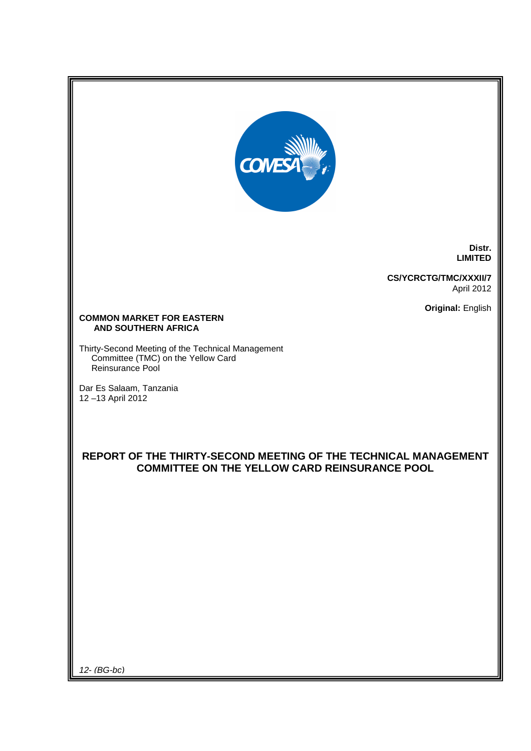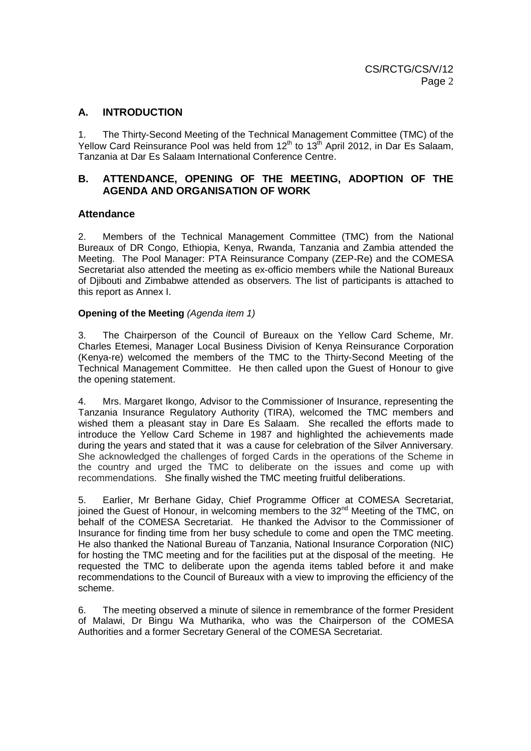# **A. INTRODUCTION**

1. The Thirty-Second Meeting of the Technical Management Committee (TMC) of the Yellow Card Reinsurance Pool was held from  $12<sup>th</sup>$  to  $13<sup>th</sup>$  April 2012, in Dar Es Salaam, Tanzania at Dar Es Salaam International Conference Centre.

# **B. ATTENDANCE, OPENING OF THE MEETING, ADOPTION OF THE AGENDA AND ORGANISATION OF WORK**

# **Attendance**

2. Members of the Technical Management Committee (TMC) from the National Bureaux of DR Congo, Ethiopia, Kenya, Rwanda, Tanzania and Zambia attended the Meeting. The Pool Manager: PTA Reinsurance Company (ZEP-Re) and the COMESA Secretariat also attended the meeting as ex-officio members while the National Bureaux of Djibouti and Zimbabwe attended as observers. The list of participants is attached to this report as Annex I.

### **Opening of the Meeting (Agenda item 1)**

3. The Chairperson of the Council of Bureaux on the Yellow Card Scheme, Mr. Charles Etemesi, Manager Local Business Division of Kenya Reinsurance Corporation (Kenya-re) welcomed the members of the TMC to the Thirty-Second Meeting of the Technical Management Committee. He then called upon the Guest of Honour to give the opening statement.

4. Mrs. Margaret Ikongo, Advisor to the Commissioner of Insurance, representing the Tanzania Insurance Regulatory Authority (TIRA), welcomed the TMC members and wished them a pleasant stay in Dare Es Salaam. She recalled the efforts made to introduce the Yellow Card Scheme in 1987 and highlighted the achievements made during the years and stated that it was a cause for celebration of the Silver Anniversary. She acknowledged the challenges of forged Cards in the operations of the Scheme in the country and urged the TMC to deliberate on the issues and come up with recommendations. She finally wished the TMC meeting fruitful deliberations.

5. Earlier, Mr Berhane Giday, Chief Programme Officer at COMESA Secretariat, joined the Guest of Honour, in welcoming members to the 32<sup>nd</sup> Meeting of the TMC, on behalf of the COMESA Secretariat. He thanked the Advisor to the Commissioner of Insurance for finding time from her busy schedule to come and open the TMC meeting. He also thanked the National Bureau of Tanzania, National Insurance Corporation (NIC) for hosting the TMC meeting and for the facilities put at the disposal of the meeting. He requested the TMC to deliberate upon the agenda items tabled before it and make recommendations to the Council of Bureaux with a view to improving the efficiency of the scheme.

6. The meeting observed a minute of silence in remembrance of the former President of Malawi, Dr Bingu Wa Mutharika, who was the Chairperson of the COMESA Authorities and a former Secretary General of the COMESA Secretariat.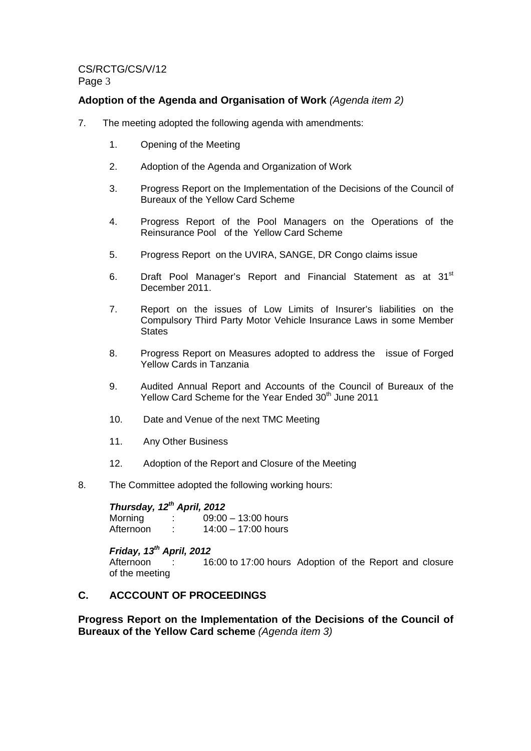# **Adoption of the Agenda and Organisation of Work** (Agenda item 2)

- 7. The meeting adopted the following agenda with amendments:
	- 1. Opening of the Meeting
	- 2. Adoption of the Agenda and Organization of Work
	- 3. Progress Report on the Implementation of the Decisions of the Council of Bureaux of the Yellow Card Scheme
	- 4. Progress Report of the Pool Managers on the Operations of the Reinsurance Pool of the Yellow Card Scheme
	- 5. Progress Report on the UVIRA, SANGE, DR Congo claims issue
	- 6. Draft Pool Manager's Report and Financial Statement as at 31<sup>st</sup> December 2011.
	- 7. Report on the issues of Low Limits of Insurer's liabilities on the Compulsory Third Party Motor Vehicle Insurance Laws in some Member **States**
	- 8. Progress Report on Measures adopted to address the issue of Forged Yellow Cards in Tanzania
	- 9. Audited Annual Report and Accounts of the Council of Bureaux of the Yellow Card Scheme for the Year Ended 30<sup>th</sup> June 2011
	- 10. Date and Venue of the next TMC Meeting
	- 11. Any Other Business
	- 12. Adoption of the Report and Closure of the Meeting
- 8. The Committee adopted the following working hours:

| Thursday, 12 <sup>th</sup> April, 2012 |                   |                       |
|----------------------------------------|-------------------|-----------------------|
| Morning                                | ÷.                | $09:00 - 13:00$ hours |
| Afternoon                              | ٠<br>$\mathbf{r}$ | $14:00 - 17:00$ hours |

### **Friday, 13th April, 2012**

Afternoon : 16:00 to 17:00 hours Adoption of the Report and closure of the meeting

# **C. ACCCOUNT OF PROCEEDINGS**

**Progress Report on the Implementation of the Decisions of the Council of Bureaux of the Yellow Card scheme** (Agenda item 3)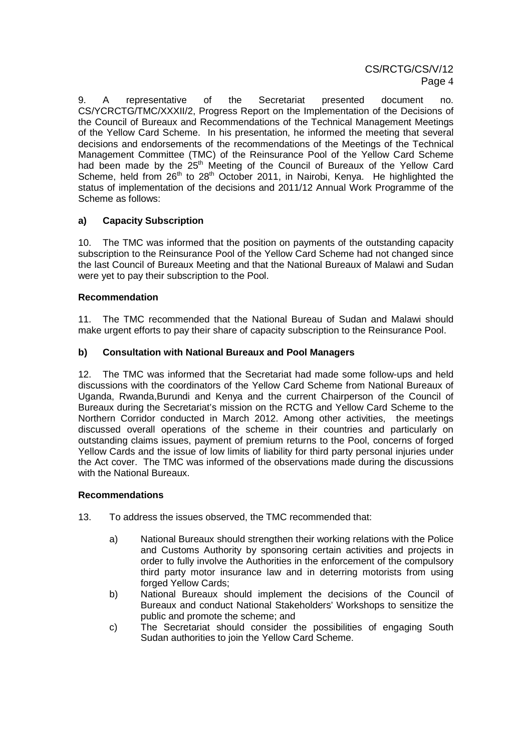9. A representative of the Secretariat presented document no. CS/YCRCTG/TMC/XXXII/2, Progress Report on the Implementation of the Decisions of the Council of Bureaux and Recommendations of the Technical Management Meetings of the Yellow Card Scheme. In his presentation, he informed the meeting that several decisions and endorsements of the recommendations of the Meetings of the Technical Management Committee (TMC) of the Reinsurance Pool of the Yellow Card Scheme had been made by the  $25<sup>th</sup>$  Meeting of the Council of Bureaux of the Yellow Card Scheme, held from  $26<sup>th</sup>$  to  $28<sup>th</sup>$  October 2011, in Nairobi, Kenya. He highlighted the status of implementation of the decisions and 2011/12 Annual Work Programme of the Scheme as follows:

# **a) Capacity Subscription**

10. The TMC was informed that the position on payments of the outstanding capacity subscription to the Reinsurance Pool of the Yellow Card Scheme had not changed since the last Council of Bureaux Meeting and that the National Bureaux of Malawi and Sudan were yet to pay their subscription to the Pool.

# **Recommendation**

11. The TMC recommended that the National Bureau of Sudan and Malawi should make urgent efforts to pay their share of capacity subscription to the Reinsurance Pool.

# **b) Consultation with National Bureaux and Pool Managers**

12. The TMC was informed that the Secretariat had made some follow-ups and held discussions with the coordinators of the Yellow Card Scheme from National Bureaux of Uganda, Rwanda,Burundi and Kenya and the current Chairperson of the Council of Bureaux during the Secretariat's mission on the RCTG and Yellow Card Scheme to the Northern Corridor conducted in March 2012. Among other activities, the meetings discussed overall operations of the scheme in their countries and particularly on outstanding claims issues, payment of premium returns to the Pool, concerns of forged Yellow Cards and the issue of low limits of liability for third party personal injuries under the Act cover. The TMC was informed of the observations made during the discussions with the National Bureaux.

### **Recommendations**

- 13. To address the issues observed, the TMC recommended that:
	- a) National Bureaux should strengthen their working relations with the Police and Customs Authority by sponsoring certain activities and projects in order to fully involve the Authorities in the enforcement of the compulsory third party motor insurance law and in deterring motorists from using forged Yellow Cards:
	- b) National Bureaux should implement the decisions of the Council of Bureaux and conduct National Stakeholders' Workshops to sensitize the public and promote the scheme; and
	- c) The Secretariat should consider the possibilities of engaging South Sudan authorities to join the Yellow Card Scheme.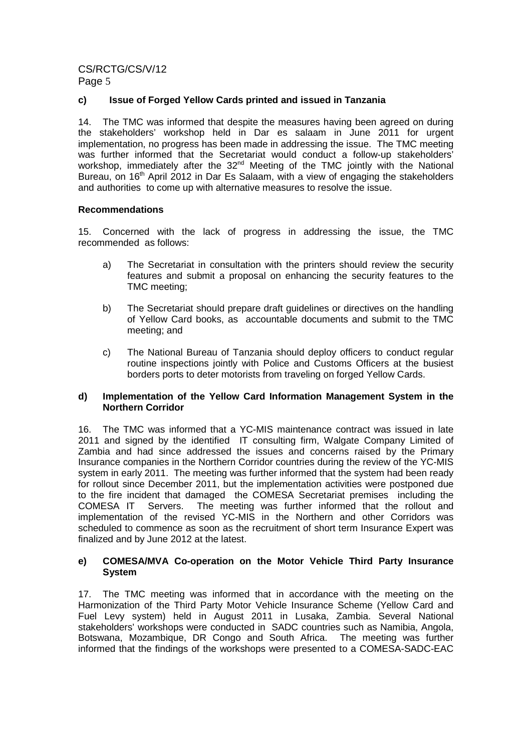# **c) Issue of Forged Yellow Cards printed and issued in Tanzania**

14. The TMC was informed that despite the measures having been agreed on during the stakeholders' workshop held in Dar es salaam in June 2011 for urgent implementation, no progress has been made in addressing the issue. The TMC meeting was further informed that the Secretariat would conduct a follow-up stakeholders' workshop, immediately after the 32<sup>nd</sup> Meeting of the TMC jointly with the National Bureau, on 16<sup>th</sup> April 2012 in Dar Es Salaam, with a view of engaging the stakeholders and authorities to come up with alternative measures to resolve the issue.

# **Recommendations**

15. Concerned with the lack of progress in addressing the issue, the TMC recommended as follows:

- a) The Secretariat in consultation with the printers should review the security features and submit a proposal on enhancing the security features to the TMC meeting;
- b) The Secretariat should prepare draft guidelines or directives on the handling of Yellow Card books, as accountable documents and submit to the TMC meeting; and
- c) The National Bureau of Tanzania should deploy officers to conduct regular routine inspections jointly with Police and Customs Officers at the busiest borders ports to deter motorists from traveling on forged Yellow Cards.

### **d) Implementation of the Yellow Card Information Management System in the Northern Corridor**

16. The TMC was informed that a YC-MIS maintenance contract was issued in late 2011 and signed by the identified IT consulting firm, Walgate Company Limited of Zambia and had since addressed the issues and concerns raised by the Primary Insurance companies in the Northern Corridor countries during the review of the YC-MIS system in early 2011. The meeting was further informed that the system had been ready for rollout since December 2011, but the implementation activities were postponed due to the fire incident that damaged the COMESA Secretariat premises including the COMESA IT Servers. The meeting was further informed that the rollout and implementation of the revised YC-MIS in the Northern and other Corridors was scheduled to commence as soon as the recruitment of short term Insurance Expert was finalized and by June 2012 at the latest.

### **e) COMESA/MVA Co-operation on the Motor Vehicle Third Party Insurance System**

17. The TMC meeting was informed that in accordance with the meeting on the Harmonization of the Third Party Motor Vehicle Insurance Scheme (Yellow Card and Fuel Levy system) held in August 2011 in Lusaka, Zambia. Several National stakeholders' workshops were conducted in SADC countries such as Namibia, Angola, Botswana, Mozambique, DR Congo and South Africa. The meeting was further informed that the findings of the workshops were presented to a COMESA-SADC-EAC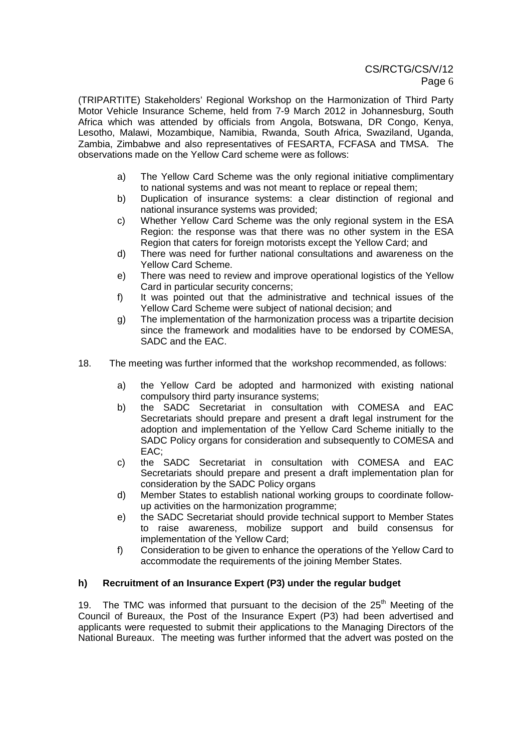(TRIPARTITE) Stakeholders' Regional Workshop on the Harmonization of Third Party Motor Vehicle Insurance Scheme, held from 7-9 March 2012 in Johannesburg, South Africa which was attended by officials from Angola, Botswana, DR Congo, Kenya, Lesotho, Malawi, Mozambique, Namibia, Rwanda, South Africa, Swaziland, Uganda, Zambia, Zimbabwe and also representatives of FESARTA, FCFASA and TMSA. The observations made on the Yellow Card scheme were as follows:

- a) The Yellow Card Scheme was the only regional initiative complimentary to national systems and was not meant to replace or repeal them;
- b) Duplication of insurance systems: a clear distinction of regional and national insurance systems was provided;
- c) Whether Yellow Card Scheme was the only regional system in the ESA Region: the response was that there was no other system in the ESA Region that caters for foreign motorists except the Yellow Card; and
- d) There was need for further national consultations and awareness on the Yellow Card Scheme.
- e) There was need to review and improve operational logistics of the Yellow Card in particular security concerns;
- f) It was pointed out that the administrative and technical issues of the Yellow Card Scheme were subject of national decision; and
- g) The implementation of the harmonization process was a tripartite decision since the framework and modalities have to be endorsed by COMESA, SADC and the EAC.
- 18. The meeting was further informed that the workshop recommended, as follows:
	- a) the Yellow Card be adopted and harmonized with existing national compulsory third party insurance systems;
	- b) the SADC Secretariat in consultation with COMESA and EAC Secretariats should prepare and present a draft legal instrument for the adoption and implementation of the Yellow Card Scheme initially to the SADC Policy organs for consideration and subsequently to COMESA and EAC;
	- c) the SADC Secretariat in consultation with COMESA and EAC Secretariats should prepare and present a draft implementation plan for consideration by the SADC Policy organs
	- d) Member States to establish national working groups to coordinate followup activities on the harmonization programme;
	- e) the SADC Secretariat should provide technical support to Member States to raise awareness, mobilize support and build consensus for implementation of the Yellow Card;
	- f) Consideration to be given to enhance the operations of the Yellow Card to accommodate the requirements of the joining Member States.

# **h) Recruitment of an Insurance Expert (P3) under the regular budget**

19. The TMC was informed that pursuant to the decision of the  $25<sup>th</sup>$  Meeting of the Council of Bureaux, the Post of the Insurance Expert (P3) had been advertised and applicants were requested to submit their applications to the Managing Directors of the National Bureaux. The meeting was further informed that the advert was posted on the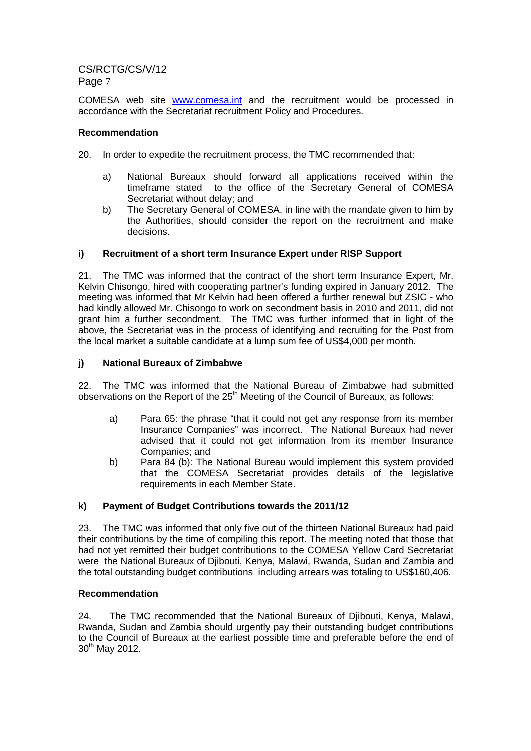COMESA web site www.comesa.int and the recruitment would be processed in accordance with the Secretariat recruitment Policy and Procedures.

# **Recommendation**

- 20. In order to expedite the recruitment process, the TMC recommended that:
	- a) National Bureaux should forward all applications received within the timeframe stated to the office of the Secretary General of COMESA Secretariat without delay; and
	- b) The Secretary General of COMESA, in line with the mandate given to him by the Authorities, should consider the report on the recruitment and make decisions.

# **i) Recruitment of a short term Insurance Expert under RISP Support**

21. The TMC was informed that the contract of the short term Insurance Expert, Mr. Kelvin Chisongo, hired with cooperating partner's funding expired in January 2012. The meeting was informed that Mr Kelvin had been offered a further renewal but ZSIC - who had kindly allowed Mr. Chisongo to work on secondment basis in 2010 and 2011, did not grant him a further secondment. The TMC was further informed that in light of the above, the Secretariat was in the process of identifying and recruiting for the Post from the local market a suitable candidate at a lump sum fee of US\$4,000 per month.

# **j) National Bureaux of Zimbabwe**

22. The TMC was informed that the National Bureau of Zimbabwe had submitted observations on the Report of the  $25<sup>th</sup>$  Meeting of the Council of Bureaux, as follows:

- a) Para 65: the phrase "that it could not get any response from its member Insurance Companies" was incorrect. The National Bureaux had never advised that it could not get information from its member Insurance Companies; and
- b) Para 84 (b): The National Bureau would implement this system provided that the COMESA Secretariat provides details of the legislative requirements in each Member State.

# **k) Payment of Budget Contributions towards the 2011/12**

23. The TMC was informed that only five out of the thirteen National Bureaux had paid their contributions by the time of compiling this report. The meeting noted that those that had not yet remitted their budget contributions to the COMESA Yellow Card Secretariat were the National Bureaux of Djibouti, Kenya, Malawi, Rwanda, Sudan and Zambia and the total outstanding budget contributions including arrears was totaling to US\$160,406.

# **Recommendation**

24. The TMC recommended that the National Bureaux of Djibouti, Kenya, Malawi, Rwanda, Sudan and Zambia should urgently pay their outstanding budget contributions to the Council of Bureaux at the earliest possible time and preferable before the end of 30<sup>th</sup> May 2012.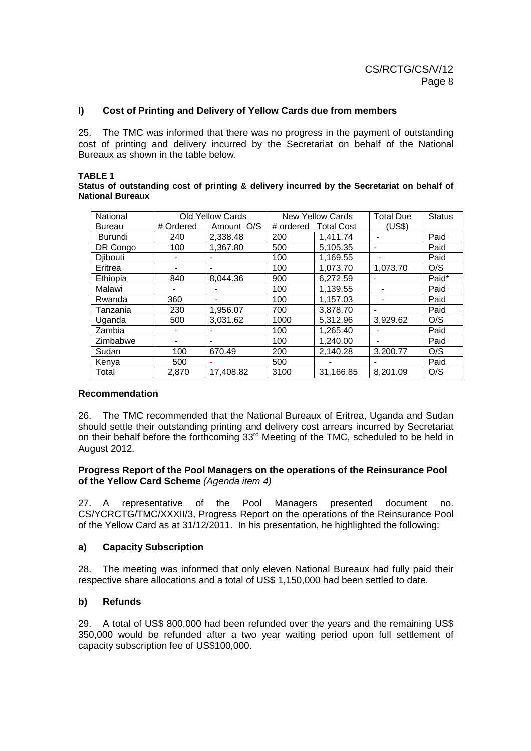### **l) Cost of Printing and Delivery of Yellow Cards due from members**

25. The TMC was informed that there was no progress in the payment of outstanding cost of printing and delivery incurred by the Secretariat on behalf of the National Bureaux as shown in the table below.

#### **TABLE 1**

#### **Status of outstanding cost of printing & delivery incurred by the Secretariat on behalf of National Bureaux**

| National      |           | <b>Old Yellow Cards</b> |           | <b>New Yellow Cards</b> | <b>Total Due</b>         | <b>Status</b> |
|---------------|-----------|-------------------------|-----------|-------------------------|--------------------------|---------------|
| <b>Bureau</b> | # Ordered | Amount O/S              | # ordered | <b>Total Cost</b>       | (US\$)                   |               |
| Burundi       | 240       | 2.338.48                | 200       | 1,411.74                |                          | Paid          |
| DR Congo      | 100       | 1,367.80                | 500       | 5,105.35                |                          | Paid          |
| Djibouti      |           |                         | 100       | 1.169.55                |                          | Paid          |
| Eritrea       | $\,$      |                         | 100       | 1.073.70                | 1,073.70                 | O/S           |
| Ethiopia      | 840       | 8.044.36                | 900       | 6,272.59                |                          | Paid*         |
| Malawi        |           |                         | 100       | 1,139.55                |                          | Paid          |
| Rwanda        | 360       |                         | 100       | 1,157.03                | $\overline{\phantom{a}}$ | Paid          |
| Tanzania      | 230       | 1.956.07                | 700       | 3.878.70                |                          | Paid          |
| Uganda        | 500       | 3,031.62                | 1000      | 5.312.96                | 3,929.62                 | O/S           |
| Zambia        |           |                         | 100       | 1,265.40                |                          | Paid          |
| Zimbabwe      | -         | -                       | 100       | 1.240.00                |                          | Paid          |
| Sudan         | 100       | 670.49                  | 200       | 2,140.28                | 3,200.77                 | O/S           |
| Kenya         | 500       |                         | 500       |                         |                          | Paid          |
| Total         | 2.870     | 17.408.82               | 3100      | 31.166.85               | 8.201.09                 | O/S           |

### **Recommendation**

26. The TMC recommended that the National Bureaux of Eritrea, Uganda and Sudan should settle their outstanding printing and delivery cost arrears incurred by Secretariat on their behalf before the forthcoming 33<sup>rd</sup> Meeting of the TMC, scheduled to be held in August 2012.

### **Progress Report of the Pool Managers on the operations of the Reinsurance Pool of the Yellow Card Scheme** (Agenda item 4)

27. A representative of the Pool Managers presented document no. CS/YCRCTG/TMC/XXXII/3, Progress Report on the operations of the Reinsurance Pool of the Yellow Card as at 31/12/2011. In his presentation, he highlighted the following:

# **a) Capacity Subscription**

28. The meeting was informed that only eleven National Bureaux had fully paid their respective share allocations and a total of US\$ 1,150,000 had been settled to date.

# **b) Refunds**

29. A total of US\$ 800,000 had been refunded over the years and the remaining US\$ 350,000 would be refunded after a two year waiting period upon full settlement of capacity subscription fee of US\$100,000.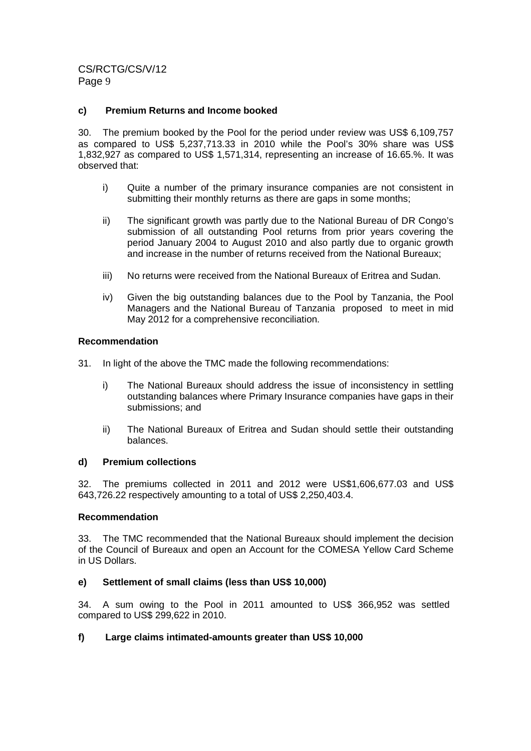### **c) Premium Returns and Income booked**

30. The premium booked by the Pool for the period under review was US\$ 6,109,757 as compared to US\$ 5,237,713.33 in 2010 while the Pool's 30% share was US\$ 1,832,927 as compared to US\$ 1,571,314, representing an increase of 16.65.%. It was observed that:

- i) Quite a number of the primary insurance companies are not consistent in submitting their monthly returns as there are gaps in some months;
- ii) The significant growth was partly due to the National Bureau of DR Congo's submission of all outstanding Pool returns from prior vears covering the period January 2004 to August 2010 and also partly due to organic growth and increase in the number of returns received from the National Bureaux;
- iii) No returns were received from the National Bureaux of Eritrea and Sudan.
- iv) Given the big outstanding balances due to the Pool by Tanzania, the Pool Managers and the National Bureau of Tanzania proposed to meet in mid May 2012 for a comprehensive reconciliation.

### **Recommendation**

- 31. In light of the above the TMC made the following recommendations:
	- i) The National Bureaux should address the issue of inconsistency in settling outstanding balances where Primary Insurance companies have gaps in their submissions; and
	- ii) The National Bureaux of Eritrea and Sudan should settle their outstanding balances.

### **d) Premium collections**

32. The premiums collected in 2011 and 2012 were US\$1,606,677.03 and US\$ 643,726.22 respectively amounting to a total of US\$ 2,250,403.4.

### **Recommendation**

33. The TMC recommended that the National Bureaux should implement the decision of the Council of Bureaux and open an Account for the COMESA Yellow Card Scheme in US Dollars.

# **e) Settlement of small claims (less than US\$ 10,000)**

34. A sum owing to the Pool in 2011 amounted to US\$ 366,952 was settled compared to US\$ 299,622 in 2010.

# **f) Large claims intimated-amounts greater than US\$ 10,000**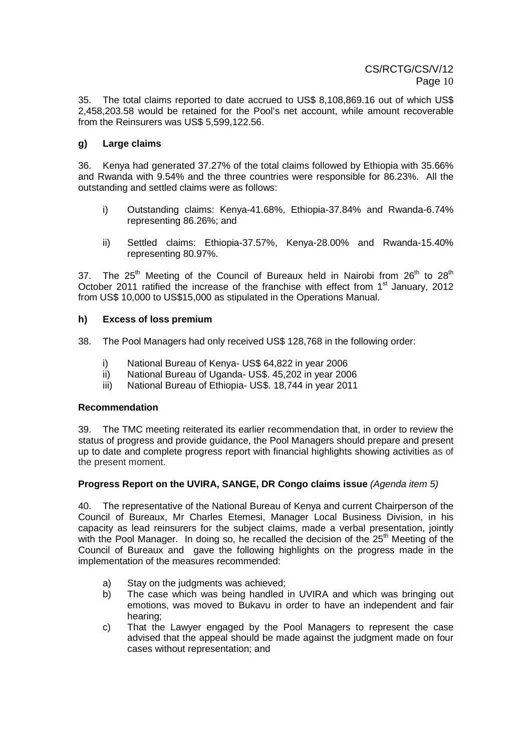35. The total claims reported to date accrued to US\$ 8,108,869.16 out of which US\$ 2,458,203.58 would be retained for the Pool's net account, while amount recoverable from the Reinsurers was US\$ 5,599,122.56.

# **g) Large claims**

36. Kenya had generated 37.27% of the total claims followed by Ethiopia with 35.66% and Rwanda with 9.54% and the three countries were responsible for 86.23%. All the outstanding and settled claims were as follows:

- i) Outstanding claims: Kenya-41.68%, Ethiopia-37.84% and Rwanda-6.74% representing 86.26%; and
- ii) Settled claims: Ethiopia-37.57%, Kenya-28.00% and Rwanda-15.40% representing 80.97%.

37. The  $25<sup>th</sup>$  Meeting of the Council of Bureaux held in Nairobi from  $26<sup>th</sup>$  to  $28<sup>th</sup>$ October 2011 ratified the increase of the franchise with effect from 1<sup>st</sup> January, 2012 from US\$ 10,000 to US\$15,000 as stipulated in the Operations Manual.

### **h) Excess of loss premium**

38. The Pool Managers had only received US\$ 128,768 in the following order:

- i) National Bureau of Kenya- US\$ 64,822 in year 2006
- ii) National Bureau of Uganda- US\$. 45,202 in year 2006
- iii) National Bureau of Ethiopia- US\$. 18,744 in year 2011

### **Recommendation**

39. The TMC meeting reiterated its earlier recommendation that, in order to review the status of progress and provide guidance, the Pool Managers should prepare and present up to date and complete progress report with financial highlights showing activities as of the present moment.

### **Progress Report on the UVIRA, SANGE, DR Congo claims issue** (Agenda item 5)

40. The representative of the National Bureau of Kenya and current Chairperson of the Council of Bureaux, Mr Charles Etemesi, Manager Local Business Division, in his capacity as lead reinsurers for the subject claims, made a verbal presentation, jointly with the Pool Manager. In doing so, he recalled the decision of the 25<sup>th</sup> Meeting of the Council of Bureaux and gave the following highlights on the progress made in the implementation of the measures recommended:

- a) Stay on the judgments was achieved;
- b) The case which was being handled in UVIRA and which was bringing out emotions, was moved to Bukavu in order to have an independent and fair hearing;
- c) That the Lawyer engaged by the Pool Managers to represent the case advised that the appeal should be made against the judgment made on four cases without representation; and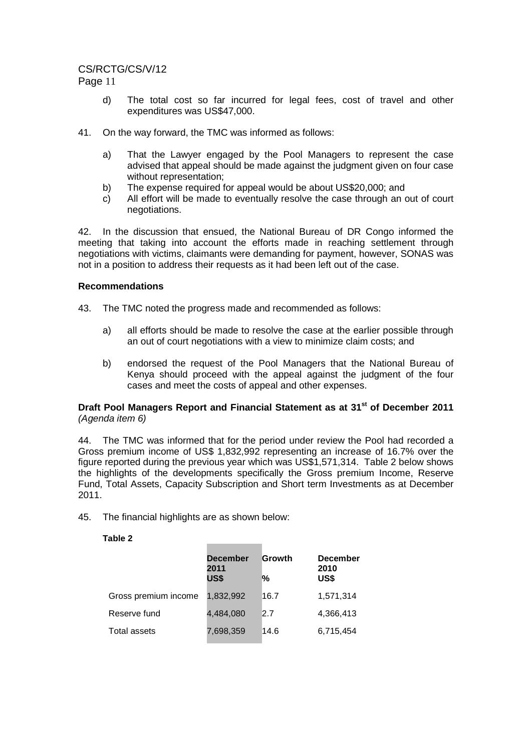# CS/RCTG/CS/V/12

Page 11

- d) The total cost so far incurred for legal fees, cost of travel and other expenditures was US\$47,000.
- 41. On the way forward, the TMC was informed as follows:
	- a) That the Lawyer engaged by the Pool Managers to represent the case advised that appeal should be made against the judgment given on four case without representation;
	- b) The expense required for appeal would be about US\$20,000; and
	- c) All effort will be made to eventually resolve the case through an out of court negotiations.

42. In the discussion that ensued, the National Bureau of DR Congo informed the meeting that taking into account the efforts made in reaching settlement through negotiations with victims, claimants were demanding for payment, however, SONAS was not in a position to address their requests as it had been left out of the case.

### **Recommendations**

- 43. The TMC noted the progress made and recommended as follows:
	- a) all efforts should be made to resolve the case at the earlier possible through an out of court negotiations with a view to minimize claim costs; and
	- b) endorsed the request of the Pool Managers that the National Bureau of Kenya should proceed with the appeal against the judgment of the four cases and meet the costs of appeal and other expenses.

### **Draft Pool Managers Report and Financial Statement as at 31st of December 2011** (Agenda item 6)

44. The TMC was informed that for the period under review the Pool had recorded a Gross premium income of US\$ 1,832,992 representing an increase of 16.7% over the figure reported during the previous year which was US\$1,571,314. Table 2 below shows the highlights of the developments specifically the Gross premium Income, Reserve Fund, Total Assets, Capacity Subscription and Short term Investments as at December 2011.

45. The financial highlights are as shown below:

### **Table 2**

|                      | <b>December</b><br>2011<br>US\$ | Growth<br>% | <b>December</b><br>2010<br>US\$ |
|----------------------|---------------------------------|-------------|---------------------------------|
| Gross premium income | 1,832,992                       | 16.7        | 1,571,314                       |
| Reserve fund         | 4,484,080                       | 2.7         | 4,366,413                       |
| Total assets         | 7,698,359                       | 14.6        | 6,715,454                       |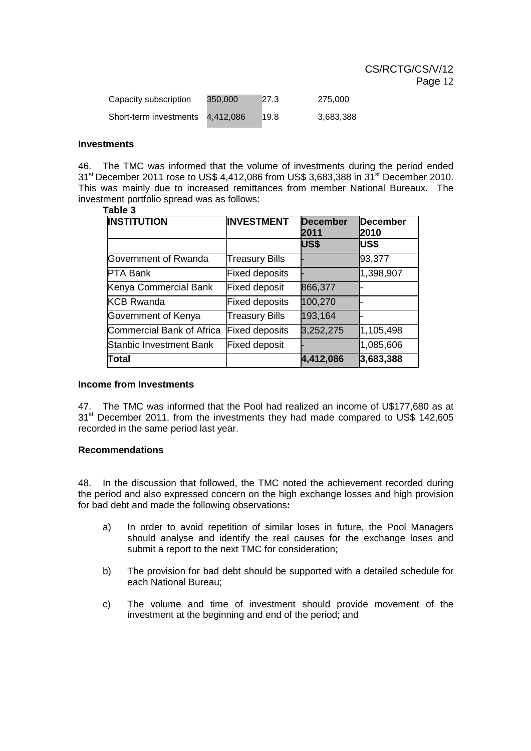| Capacity subscription  | 350,000   | 27.3 | 275.000   |
|------------------------|-----------|------|-----------|
| Short-term investments | 4.412.086 | 19.8 | 3,683,388 |

#### **Investments**

46. The TMC was informed that the volume of investments during the period ended  $31<sup>st</sup>$  December 2011 rose to US\$ 4,412,086 from US\$ 3,683,388 in  $31<sup>st</sup>$  December 2010. This was mainly due to increased remittances from member National Bureaux. The investment portfolio spread was as follows:

#### **Table 3**

| <b>INSTITUTION</b>        | <b>INVESTMENT</b>     | <b>December</b><br>2011 | December<br>2010 |  |
|---------------------------|-----------------------|-------------------------|------------------|--|
|                           |                       | US\$                    | US\$             |  |
| Government of Rwanda      | <b>Treasury Bills</b> |                         | 93,377           |  |
| <b>PTA Bank</b>           | <b>Fixed deposits</b> |                         | 1,398,907        |  |
| Kenya Commercial Bank     | <b>Fixed deposit</b>  | 866,377                 |                  |  |
| <b>KCB Rwanda</b>         | <b>Fixed deposits</b> | 100,270                 |                  |  |
| Government of Kenya       | <b>Treasury Bills</b> | 193,164                 |                  |  |
| Commercial Bank of Africa | <b>Fixed deposits</b> | 3,252,275               | 1,105,498        |  |
| Stanbic Investment Bank   | <b>Fixed deposit</b>  |                         | 1,085,606        |  |
| <b>Total</b>              |                       | 4,412,086               | 3,683,388        |  |

### **Income from Investments**

47. The TMC was informed that the Pool had realized an income of U\$177,680 as at 31<sup>st</sup> December 2011, from the investments they had made compared to US\$ 142,605 recorded in the same period last year.

#### **Recommendations**

48. In the discussion that followed, the TMC noted the achievement recorded during the period and also expressed concern on the high exchange losses and high provision for bad debt and made the following observations**:** 

- a) In order to avoid repetition of similar loses in future, the Pool Managers should analyse and identify the real causes for the exchange loses and submit a report to the next TMC for consideration;
- b) The provision for bad debt should be supported with a detailed schedule for each National Bureau;
- c) The volume and time of investment should provide movement of the investment at the beginning and end of the period; and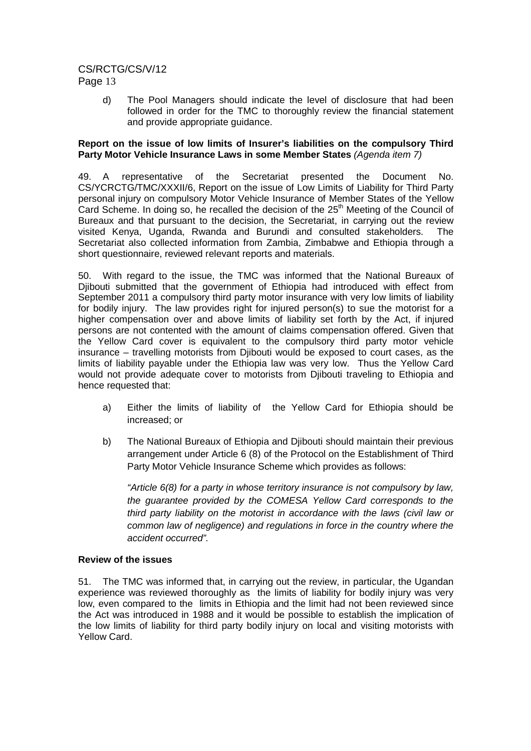d) The Pool Managers should indicate the level of disclosure that had been followed in order for the TMC to thoroughly review the financial statement and provide appropriate guidance.

### **Report on the issue of low limits of Insurer's liabilities on the compulsory Third Party Motor Vehicle Insurance Laws in some Member States** (Agenda item 7)

49. A representative of the Secretariat presented the Document No. CS/YCRCTG/TMC/XXXII/6, Report on the issue of Low Limits of Liability for Third Party personal injury on compulsory Motor Vehicle Insurance of Member States of the Yellow Card Scheme. In doing so, he recalled the decision of the 25<sup>th</sup> Meeting of the Council of Bureaux and that pursuant to the decision, the Secretariat, in carrying out the review visited Kenya, Uganda, Rwanda and Burundi and consulted stakeholders. The Secretariat also collected information from Zambia, Zimbabwe and Ethiopia through a short questionnaire, reviewed relevant reports and materials.

50. With regard to the issue, the TMC was informed that the National Bureaux of Djibouti submitted that the government of Ethiopia had introduced with effect from September 2011 a compulsory third party motor insurance with very low limits of liability for bodily injury. The law provides right for injured person(s) to sue the motorist for a higher compensation over and above limits of liability set forth by the Act, if injured persons are not contented with the amount of claims compensation offered. Given that the Yellow Card cover is equivalent to the compulsory third party motor vehicle insurance – travelling motorists from Djibouti would be exposed to court cases, as the limits of liability payable under the Ethiopia law was very low. Thus the Yellow Card would not provide adequate cover to motorists from Djibouti traveling to Ethiopia and hence requested that:

- a) Either the limits of liability of the Yellow Card for Ethiopia should be increased; or
- b) The National Bureaux of Ethiopia and Djibouti should maintain their previous arrangement under Article 6 (8) of the Protocol on the Establishment of Third Party Motor Vehicle Insurance Scheme which provides as follows:

"Article 6(8) for a party in whose territory insurance is not compulsory by law, the guarantee provided by the COMESA Yellow Card corresponds to the third party liability on the motorist in accordance with the laws (civil law or common law of negligence) and regulations in force in the country where the accident occurred".

# **Review of the issues**

51. The TMC was informed that, in carrying out the review, in particular, the Ugandan experience was reviewed thoroughly as the limits of liability for bodily injury was very low, even compared to the limits in Ethiopia and the limit had not been reviewed since the Act was introduced in 1988 and it would be possible to establish the implication of the low limits of liability for third party bodily injury on local and visiting motorists with Yellow Card.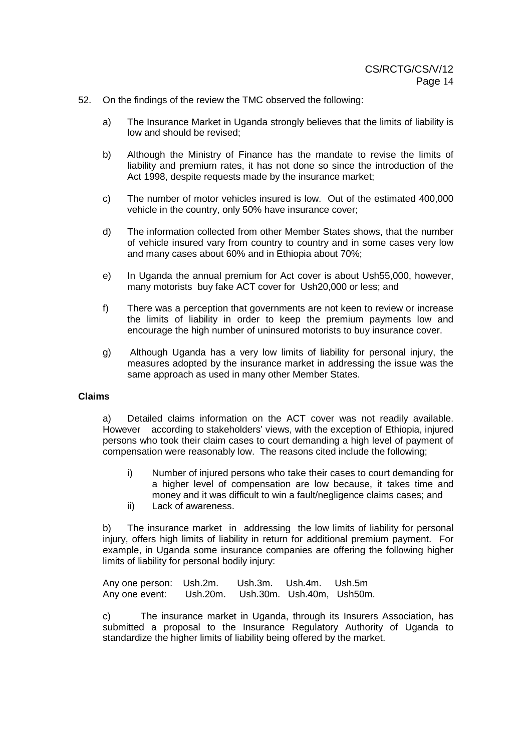- 52. On the findings of the review the TMC observed the following:
	- a) The Insurance Market in Uganda strongly believes that the limits of liability is low and should be revised;
	- b) Although the Ministry of Finance has the mandate to revise the limits of liability and premium rates, it has not done so since the introduction of the Act 1998, despite requests made by the insurance market;
	- c) The number of motor vehicles insured is low. Out of the estimated 400,000 vehicle in the country, only 50% have insurance cover;
	- d) The information collected from other Member States shows, that the number of vehicle insured vary from country to country and in some cases very low and many cases about 60% and in Ethiopia about 70%;
	- e) In Uganda the annual premium for Act cover is about Ush55,000, however, many motorists buy fake ACT cover for Ush20,000 or less; and
	- f) There was a perception that governments are not keen to review or increase the limits of liability in order to keep the premium payments low and encourage the high number of uninsured motorists to buy insurance cover.
	- g) Although Uganda has a very low limits of liability for personal injury, the measures adopted by the insurance market in addressing the issue was the same approach as used in many other Member States.

### **Claims**

a) Detailed claims information on the ACT cover was not readily available. However according to stakeholders' views, with the exception of Ethiopia, injured persons who took their claim cases to court demanding a high level of payment of compensation were reasonably low. The reasons cited include the following;

- i) Number of injured persons who take their cases to court demanding for a higher level of compensation are low because, it takes time and money and it was difficult to win a fault/negligence claims cases; and
- ii) Lack of awareness.

b) The insurance market in addressing the low limits of liability for personal injury, offers high limits of liability in return for additional premium payment. For example, in Uganda some insurance companies are offering the following higher limits of liability for personal bodily injury:

Any one person: Ush.2m. Ush.3m. Ush.4m. Ush.5m Any one event: Ush.20m. Ush.30m. Ush.40m, Ush50m.

c) The insurance market in Uganda, through its Insurers Association, has submitted a proposal to the Insurance Regulatory Authority of Uganda to standardize the higher limits of liability being offered by the market.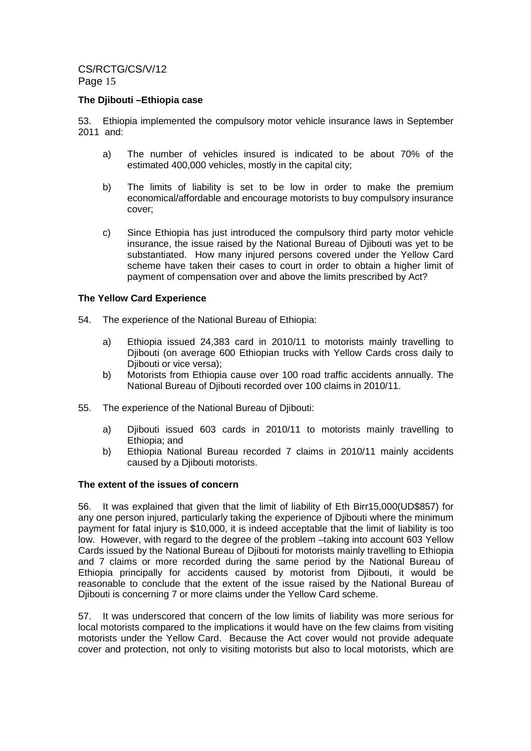### **The Djibouti –Ethiopia case**

53. Ethiopia implemented the compulsory motor vehicle insurance laws in September 2011 and:

- a) The number of vehicles insured is indicated to be about 70% of the estimated 400,000 vehicles, mostly in the capital city;
- b) The limits of liability is set to be low in order to make the premium economical/affordable and encourage motorists to buy compulsory insurance cover;
- c) Since Ethiopia has just introduced the compulsory third party motor vehicle insurance, the issue raised by the National Bureau of Djibouti was yet to be substantiated. How many injured persons covered under the Yellow Card scheme have taken their cases to court in order to obtain a higher limit of payment of compensation over and above the limits prescribed by Act?

### **The Yellow Card Experience**

- 54. The experience of the National Bureau of Ethiopia:
	- a) Ethiopia issued 24,383 card in 2010/11 to motorists mainly travelling to Djibouti (on average 600 Ethiopian trucks with Yellow Cards cross daily to Djibouti or vice versa);
	- b) Motorists from Ethiopia cause over 100 road traffic accidents annually. The National Bureau of Djibouti recorded over 100 claims in 2010/11.
- 55. The experience of the National Bureau of Djibouti:
	- a) Djibouti issued 603 cards in 2010/11 to motorists mainly travelling to Ethiopia; and
	- b) Ethiopia National Bureau recorded 7 claims in 2010/11 mainly accidents caused by a Djibouti motorists.

### **The extent of the issues of concern**

56. It was explained that given that the limit of liability of Eth Birr15,000(UD\$857) for any one person injured, particularly taking the experience of Djibouti where the minimum payment for fatal injury is \$10,000, it is indeed acceptable that the limit of liability is too low. However, with regard to the degree of the problem –taking into account 603 Yellow Cards issued by the National Bureau of Djibouti for motorists mainly travelling to Ethiopia and 7 claims or more recorded during the same period by the National Bureau of Ethiopia principally for accidents caused by motorist from Djibouti, it would be reasonable to conclude that the extent of the issue raised by the National Bureau of Djibouti is concerning 7 or more claims under the Yellow Card scheme.

57. It was underscored that concern of the low limits of liability was more serious for local motorists compared to the implications it would have on the few claims from visiting motorists under the Yellow Card. Because the Act cover would not provide adequate cover and protection, not only to visiting motorists but also to local motorists, which are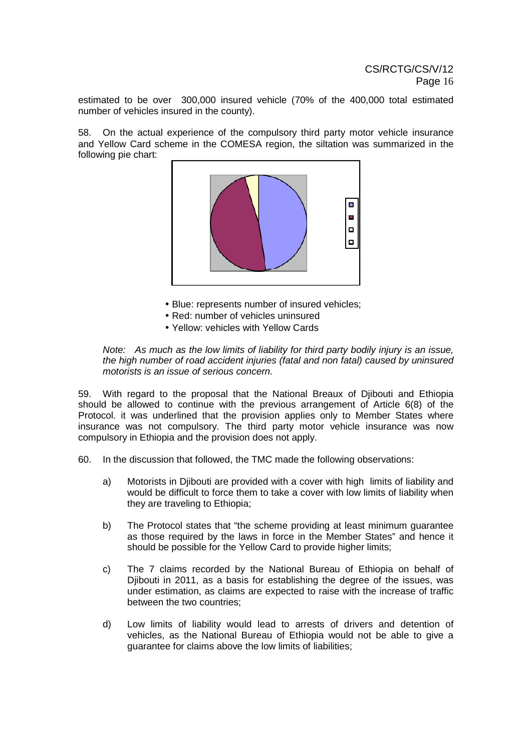estimated to be over 300,000 insured vehicle (70% of the 400,000 total estimated number of vehicles insured in the county).

58. On the actual experience of the compulsory third party motor vehicle insurance and Yellow Card scheme in the COMESA region, the siltation was summarized in the following pie chart:



- Blue: represents number of insured vehicles;
- Red: number of vehicles uninsured
- Yellow: vehicles with Yellow Cards

#### Note: As much as the low limits of liability for third party bodily injury is an issue, the high number of road accident injuries (fatal and non fatal) caused by uninsured motorists is an issue of serious concern.

59. With regard to the proposal that the National Breaux of Djibouti and Ethiopia should be allowed to continue with the previous arrangement of Article 6(8) of the Protocol. it was underlined that the provision applies only to Member States where insurance was not compulsory. The third party motor vehicle insurance was now compulsory in Ethiopia and the provision does not apply.

- 60. In the discussion that followed, the TMC made the following observations:
	- a) Motorists in Djibouti are provided with a cover with high limits of liability and would be difficult to force them to take a cover with low limits of liability when they are traveling to Ethiopia;
	- b) The Protocol states that "the scheme providing at least minimum guarantee as those required by the laws in force in the Member States" and hence it should be possible for the Yellow Card to provide higher limits;
	- c) The 7 claims recorded by the National Bureau of Ethiopia on behalf of Djibouti in 2011, as a basis for establishing the degree of the issues, was under estimation, as claims are expected to raise with the increase of traffic between the two countries;
	- d) Low limits of liability would lead to arrests of drivers and detention of vehicles, as the National Bureau of Ethiopia would not be able to give a guarantee for claims above the low limits of liabilities;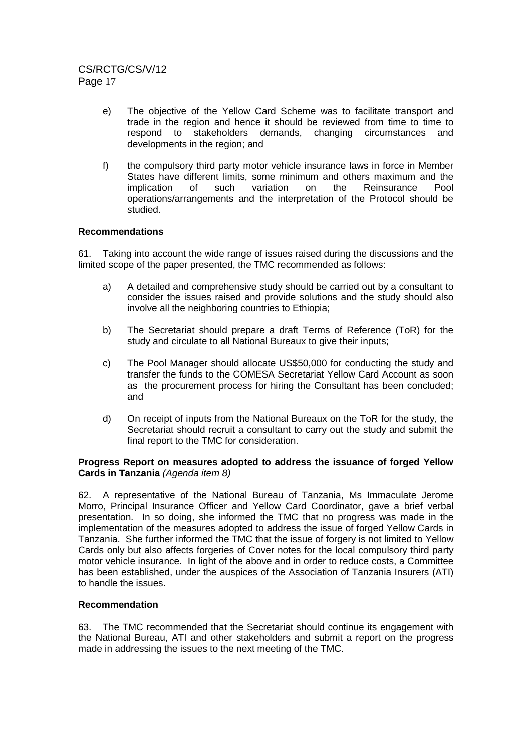- e) The objective of the Yellow Card Scheme was to facilitate transport and trade in the region and hence it should be reviewed from time to time to respond to stakeholders demands, changing circumstances and developments in the region; and
- f) the compulsory third party motor vehicle insurance laws in force in Member States have different limits, some minimum and others maximum and the implication of such variation on the Reinsurance Pool operations/arrangements and the interpretation of the Protocol should be studied.

# **Recommendations**

61. Taking into account the wide range of issues raised during the discussions and the limited scope of the paper presented, the TMC recommended as follows:

- a) A detailed and comprehensive study should be carried out by a consultant to consider the issues raised and provide solutions and the study should also involve all the neighboring countries to Ethiopia;
- b) The Secretariat should prepare a draft Terms of Reference (ToR) for the study and circulate to all National Bureaux to give their inputs;
- c) The Pool Manager should allocate US\$50,000 for conducting the study and transfer the funds to the COMESA Secretariat Yellow Card Account as soon as the procurement process for hiring the Consultant has been concluded; and
- d) On receipt of inputs from the National Bureaux on the ToR for the study, the Secretariat should recruit a consultant to carry out the study and submit the final report to the TMC for consideration.

### **Progress Report on measures adopted to address the issuance of forged Yellow Cards in Tanzania** (Agenda item 8)

62. A representative of the National Bureau of Tanzania, Ms Immaculate Jerome Morro, Principal Insurance Officer and Yellow Card Coordinator, gave a brief verbal presentation. In so doing, she informed the TMC that no progress was made in the implementation of the measures adopted to address the issue of forged Yellow Cards in Tanzania. She further informed the TMC that the issue of forgery is not limited to Yellow Cards only but also affects forgeries of Cover notes for the local compulsory third party motor vehicle insurance. In light of the above and in order to reduce costs, a Committee has been established, under the auspices of the Association of Tanzania Insurers (ATI) to handle the issues.

### **Recommendation**

63. The TMC recommended that the Secretariat should continue its engagement with the National Bureau, ATI and other stakeholders and submit a report on the progress made in addressing the issues to the next meeting of the TMC.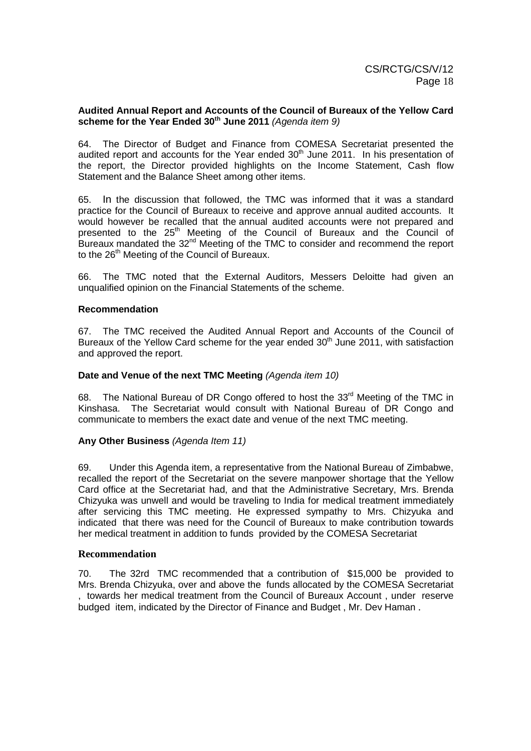### **Audited Annual Report and Accounts of the Council of Bureaux of the Yellow Card scheme for the Year Ended 30th June 2011** (Agenda item 9)

64. The Director of Budget and Finance from COMESA Secretariat presented the audited report and accounts for the Year ended 30<sup>th</sup> June 2011. In his presentation of the report, the Director provided highlights on the Income Statement, Cash flow Statement and the Balance Sheet among other items.

65. In the discussion that followed, the TMC was informed that it was a standard practice for the Council of Bureaux to receive and approve annual audited accounts. It would however be recalled that the annual audited accounts were not prepared and presented to the 25<sup>th</sup> Meeting of the Council of Bureaux and the Council of Bureaux mandated the 32<sup>nd</sup> Meeting of the TMC to consider and recommend the report to the 26<sup>th</sup> Meeting of the Council of Bureaux.

66. The TMC noted that the External Auditors, Messers Deloitte had given an unqualified opinion on the Financial Statements of the scheme.

### **Recommendation**

67. The TMC received the Audited Annual Report and Accounts of the Council of Bureaux of the Yellow Card scheme for the year ended  $30<sup>th</sup>$  June 2011, with satisfaction and approved the report.

### Date and Venue of the next TMC Meeting (Agenda item 10)

68. The National Bureau of DR Congo offered to host the 33<sup>rd</sup> Meeting of the TMC in Kinshasa. The Secretariat would consult with National Bureau of DR Congo and communicate to members the exact date and venue of the next TMC meeting.

# **Any Other Business** (Agenda Item 11)

69. Under this Agenda item, a representative from the National Bureau of Zimbabwe, recalled the report of the Secretariat on the severe manpower shortage that the Yellow Card office at the Secretariat had, and that the Administrative Secretary, Mrs. Brenda Chizyuka was unwell and would be traveling to India for medical treatment immediately after servicing this TMC meeting. He expressed sympathy to Mrs. Chizyuka and indicated that there was need for the Council of Bureaux to make contribution towards her medical treatment in addition to funds provided by the COMESA Secretariat

### **Recommendation**

70. The 32rd TMC recommended that a contribution of \$15,000 be provided to Mrs. Brenda Chizyuka, over and above the funds allocated by the COMESA Secretariat , towards her medical treatment from the Council of Bureaux Account , under reserve budged item, indicated by the Director of Finance and Budget , Mr. Dev Haman .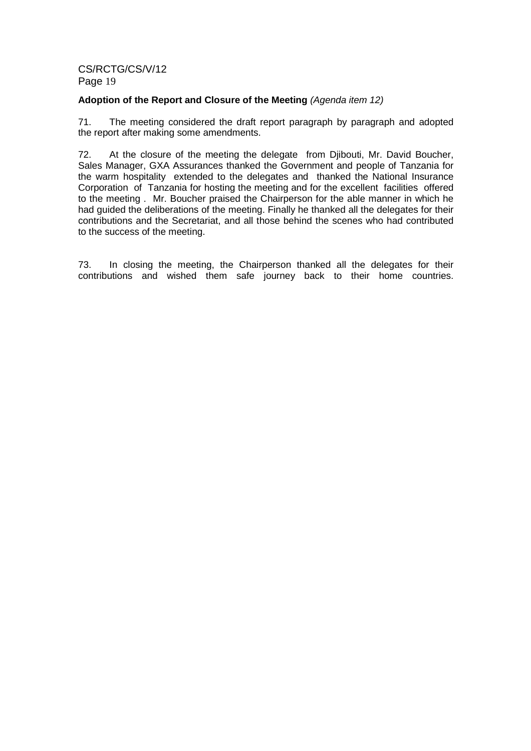### Adoption of the Report and Closure of the Meeting (Agenda item 12)

71. The meeting considered the draft report paragraph by paragraph and adopted the report after making some amendments.

72. At the closure of the meeting the delegate from Djibouti, Mr. David Boucher, Sales Manager, GXA Assurances thanked the Government and people of Tanzania for the warm hospitality extended to the delegates and thanked the National Insurance Corporation of Tanzania for hosting the meeting and for the excellent facilities offered to the meeting . Mr. Boucher praised the Chairperson for the able manner in which he had guided the deliberations of the meeting. Finally he thanked all the delegates for their contributions and the Secretariat, and all those behind the scenes who had contributed to the success of the meeting.

73. In closing the meeting, the Chairperson thanked all the delegates for their contributions and wished them safe journey back to their home countries.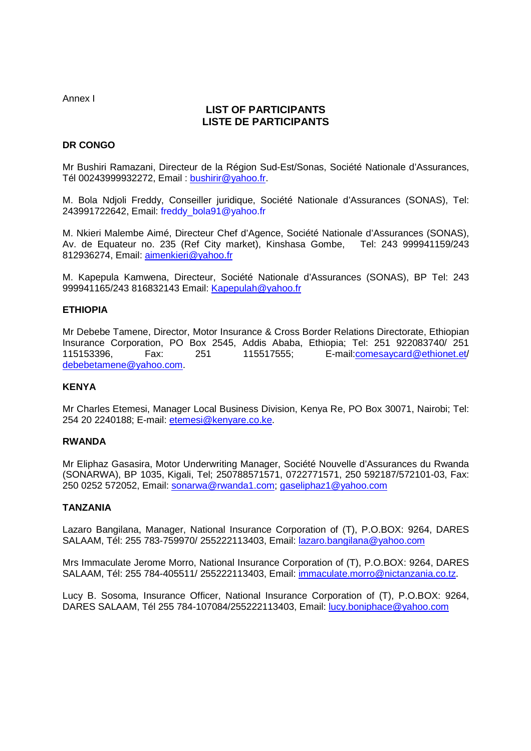Annex I

# **LIST OF PARTICIPANTS LISTE DE PARTICIPANTS**

### **DR CONGO**

Mr Bushiri Ramazani, Directeur de la Région Sud-Est/Sonas, Société Nationale d'Assurances, Tél 00243999932272, Email : bushirir@yahoo.fr.

M. Bola Ndjoli Freddy, Conseiller juridique, Société Nationale d'Assurances (SONAS), Tel: 243991722642, Email: freddy\_bola91@yahoo.fr

M. Nkieri Malembe Aimé, Directeur Chef d'Agence, Société Nationale d'Assurances (SONAS), Av. de Equateur no. 235 (Ref City market), Kinshasa Gombe, Tel: 243 999941159/243 812936274, Email: aimenkieri@yahoo.fr

M. Kapepula Kamwena, Directeur, Société Nationale d'Assurances (SONAS), BP Tel: 243 999941165/243 816832143 Email: Kapepulah@yahoo.fr

### **ETHIOPIA**

Mr Debebe Tamene, Director, Motor Insurance & Cross Border Relations Directorate, Ethiopian Insurance Corporation, PO Box 2545, Addis Ababa, Ethiopia; Tel: 251 922083740/ 251 115153396, Fax: 251 115517555; E-mail:comesaycard@ethionet.et/ debebetamene@yahoo.com.

### **KENYA**

Mr Charles Etemesi, Manager Local Business Division, Kenya Re, PO Box 30071, Nairobi; Tel: 254 20 2240188; E-mail: etemesi@kenyare.co.ke.

### **RWANDA**

Mr Eliphaz Gasasira, Motor Underwriting Manager, Société Nouvelle d'Assurances du Rwanda (SONARWA), BP 1035, Kigali, Tel; 250788571571, 0722771571, 250 592187/572101-03, Fax: 250 0252 572052, Email: sonarwa@rwanda1.com; gaseliphaz1@yahoo.com

### **TANZANIA**

Lazaro Bangilana, Manager, National Insurance Corporation of (T), P.O.BOX: 9264, DARES SALAAM, Tél: 255 783-759970/ 255222113403, Email: lazaro.bangilana@yahoo.com

Mrs Immaculate Jerome Morro, National Insurance Corporation of (T), P.O.BOX: 9264, DARES SALAAM, Tél: 255 784-405511/ 255222113403, Email: immaculate.morro@nictanzania.co.tz.

Lucy B. Sosoma, Insurance Officer, National Insurance Corporation of (T), P.O.BOX: 9264, DARES SALAAM, Tél 255 784-107084/255222113403, Email: lucy.boniphace@yahoo.com